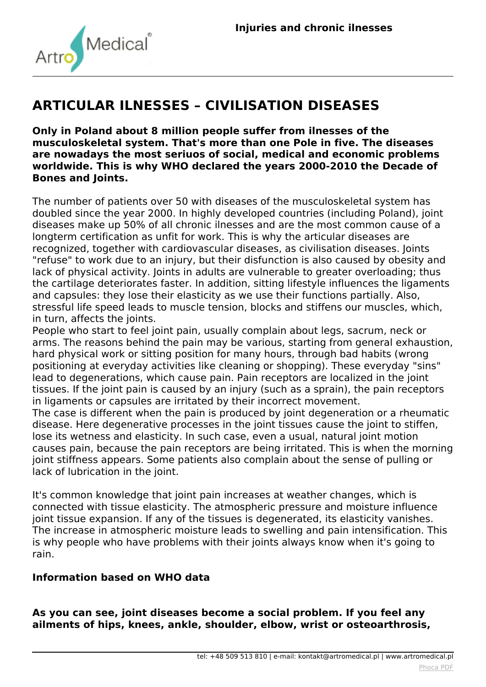

## **ARTICULAR ILNESSES – CIVILISATION DISEASES**

**Only in Poland about 8 million people suffer from ilnesses of the musculoskeletal system. That's more than one Pole in five. The diseases are nowadays the most seriuos of social, medical and economic problems worldwide. This is why WHO declared the years 2000-2010 the Decade of Bones and Joints.**

*The number of patients over 50 with diseases of the musculoskeletal system has doubled since the year 2000. In highly developed countries (including Poland), joint diseases make up 50% of all chronic ilnesses and are the most common cause of a longterm certification as unfit for work. This is why the articular diseases are recognized, together with cardiovascular diseases, as civilisation diseases. Joints "refuse" to work due to an injury, but their disfunction is also caused by obesity and lack of physical activity. Joints in adults are vulnerable to greater overloading; thus the cartilage deteriorates faster. In addition, sitting lifestyle influences the ligaments and capsules: they lose their elasticity as we use their functions partially. Also, stressful life speed leads to muscle tension, blocks and stiffens our muscles, which, in turn, affects the joints.*

*People who start to feel joint pain, usually complain about legs, sacrum, neck or arms. The reasons behind the pain may be various, starting from general exhaustion, hard physical work or sitting position for many hours, through bad habits (wrong positioning at everyday activities like cleaning or shopping). These everyday "sins" lead to degenerations, which cause pain. Pain receptors are localized in the joint tissues. If the joint pain is caused by an injury (such as a sprain), the pain receptors in ligaments or capsules are irritated by their incorrect movement.*

*The case is different when the pain is produced by joint degeneration or a rheumatic disease. Here degenerative processes in the joint tissues cause the joint to stiffen, lose its wetness and elasticity. In such case, even a usual, natural joint motion causes pain, because the pain receptors are being irritated. This is when the morning joint stiffness appears. Some patients also complain about the sense of pulling or lack of lubrication in the joint.*

*It's common knowledge that joint pain increases at weather changes, which is connected with tissue elasticity. The atmospheric pressure and moisture influence joint tissue expansion. If any of the tissues is degenerated, its elasticity vanishes. The increase in atmospheric moisture leads to swelling and pain intensification. This is why people who have problems with their joints always know when it's going to rain.*

## **Information based on WHO data**

**As you can see, joint diseases become a social problem. If you feel any ailments of hips, knees, ankle, shoulder, elbow, wrist or osteoarthrosis,**